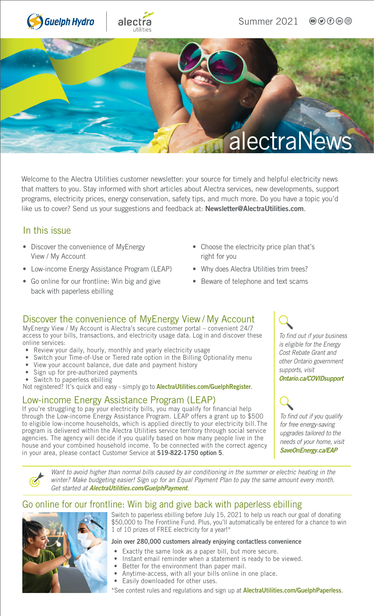

Welcome to the Alectra Utilities customer newsletter: your source for timely and helpful electricity news that matters to you. Stay informed with short articles about Alectra services, new developments, support programs, electricity prices, energy conservation, safety tips, and much more. Do you have a topic you'd like us to cover? Send us your suggestions and feedback at: [Newsletter@AlectraUtilities.com](mailto:newsletter@alectrautilities.com).

### In this issue

- Discover the convenience of MyEnergy View / My Account
- Low-income Energy Assistance Program (LEAP)
- Go online for our frontline: Win big and give back with paperless ebilling
- Choose the electricity price plan that's right for you
- Why does Alectra Utilities trim trees?
- Beware of telephone and text scams

## Discover the convenience of MyEnergy View / My Account

MyEnergy View / My Account is Alectra's secure customer portal – convenient 24/7 access to your bills, transactions, and electricity usage data. Log in and discover these online services:

- Review your daily, hourly, monthly and yearly electricity usage
- Switch your Time-of-Use or Tiered rate option in the Billing Optionality menu
- View your account balance, due date and payment history
- Sign up for pre-authorized payments
- Switch to paperless ebilling

Not registered? It's quick and easy - simply go to [AlectraUtilities.com/GuelphRegister](https://apps.guelphhydro.com/AccountOnlineWeb/Register.jsp).

## Low-income Energy Assistance Program (LEAP)

If you're struggling to pay your electricity bills, you may qualify for financial help through the Low-income Energy Assistance Program. LEAP offers a grant up to \$500 to eligible low-income households, which is applied directly to your electricity bill. The program is delivered within the Alectra Utilities service territory through social service agencies. The agency will decide if you qualify based on how many people live in the house and your combined household income. To be connected with the correct agency in your area, please contact Customer Service at 519-822-1750 option 5.

*To find out if your business is eligible for the Energy Cost Rebate Grant and other Ontario government supports, visit*  [Ontario.ca/COVIDsupport](https://www.ontario.ca/page/businesses-get-help-covid-19-costs)

*To find out if you qualify for free energy-saving upgrades tailored to the needs of your home, visit*  [SaveOnEnergy.ca/EAP](https://saveonenergy.ca/en/For-Your-Home/Energy-Affordability-Program)

*Want to avoid higher than normal bills caused by air conditioning in the summer or electric heating in the winter? Make budgeting easier! Sign up for an Equal Payment Plan to pay the same amount every month. Get started at* [AlectraUtilities.com/GuelphPayment](https://www.guelphhydro.com/en/billing-payments-and-moves/payment-options.aspx#).

## Go online for our frontline: Win big and give back with paperless ebilling



Switch to paperless ebilling before July 15, 2021 to help us reach our goal of donating \$50,000 to The Frontline Fund. Plus, you'll automatically be entered for a chance to win 1 of 10 prizes of FREE electricity for a year!\*

#### Join over 280,000 customers already enjoying contactless convenience

- Exactly the same look as a paper bill, but more secure.
- Instant email reminder when a statement is ready to be viewed.
- Better for the environment than paper mail.
- Anytime-access, with all your bills online in one place.
- Easily downloaded for other uses.

\*See contest rules and regulations and sign up at **[AlectraUtilities.com/GuelphPaperless](https://www.guelphhydro.com/en/billing-payments-and-moves/ebilling.aspx)**.